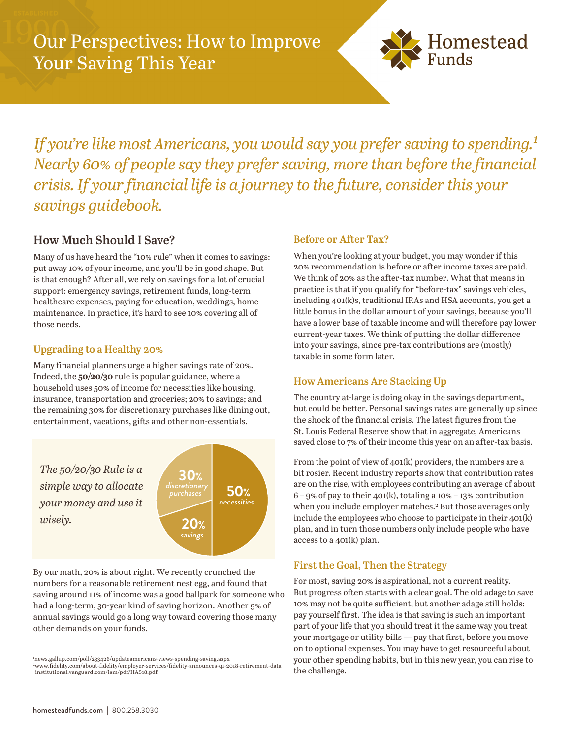

*If you're like most Americans, you would say you prefer saving to spending.*<sup>1</sup> *Nearly 60% of people say they prefer saving, more than before the financial crisis. If your financial life is a journey to the future, consider this your savings guidebook.*

# **How Much Should I Save?**

Many of us have heard the "10% rule" when it comes to savings: put away 10% of your income, and you'll be in good shape. But is that enough? After all, we rely on savings for a lot of crucial support: emergency savings, retirement funds, long-term healthcare expenses, paying for education, weddings, home maintenance. In practice, it's hard to see 10% covering all of those needs.

# **Upgrading to a Healthy 20%**

Many financial planners urge a higher savings rate of 20%. Indeed, the **50/20/30** rule is popular guidance, where a household uses 50% of income for necessities like housing, insurance, transportation and groceries; 20% to savings; and the remaining 30% for discretionary purchases like dining out, entertainment, vacations, gifts and other non-essentials.



By our math, 20% is about right. We recently crunched the numbers for a reasonable retirement nest egg, and found that saving around 11% of income was a good ballpark for someone who had a long-term, 30-year kind of saving horizon. Another 9% of annual savings would go a long way toward covering those many other demands on your funds.

### **Before or After Tax?**

When you're looking at your budget, you may wonder if this 20% recommendation is before or after income taxes are paid. We think of 20% as the after-tax number. What that means in practice is that if you qualify for "before-tax" savings vehicles, including 401(k)s, traditional IRAs and HSA accounts, you get a little bonus in the dollar amount of your savings, because you'll have a lower base of taxable income and will therefore pay lower current-year taxes. We think of putting the dollar difference into your savings, since pre-tax contributions are (mostly) taxable in some form later.

### **How Americans Are Stacking Up**

The country at-large is doing okay in the savings department, but could be better. Personal savings rates are generally up since the shock of the financial crisis. The latest figures from the St. Louis Federal Reserve show that in aggregate, Americans saved close to 7% of their income this year on an after-tax basis.

From the point of view of 401(k) providers, the numbers are a bit rosier. Recent industry reports show that contribution rates are on the rise, with employees contributing an average of about  $6 - 9\%$  of pay to their 401(k), totaling a 10% – 13% contribution when you include employer matches.<sup>2</sup> But those averages only include the employees who choose to participate in their 401(k) plan, and in turn those numbers only include people who have access to a 401(k) plan.

### **First the Goal, Then the Strategy**

For most, saving 20% is aspirational, not a current reality. But progress often starts with a clear goal. The old adage to save 10% may not be quite sufficient, but another adage still holds: pay yourself first. The idea is that saving is such an important part of your life that you should treat it the same way you treat your mortgage or utility bills — pay that first, before you move on to optional expenses. You may have to get resourceful about your other spending habits, but in this new year, you can rise to the challenge.

<sup>1</sup>news.gallup.com/poll/233426/updateamericans-views-spending-saving.aspx <sup>2</sup>www.fidelity.com/about-fidelity/employer-services/fidelity-announces-q1-2018-retirement-data institutional.vanguard.com/iam/pdf/HAS18.pdf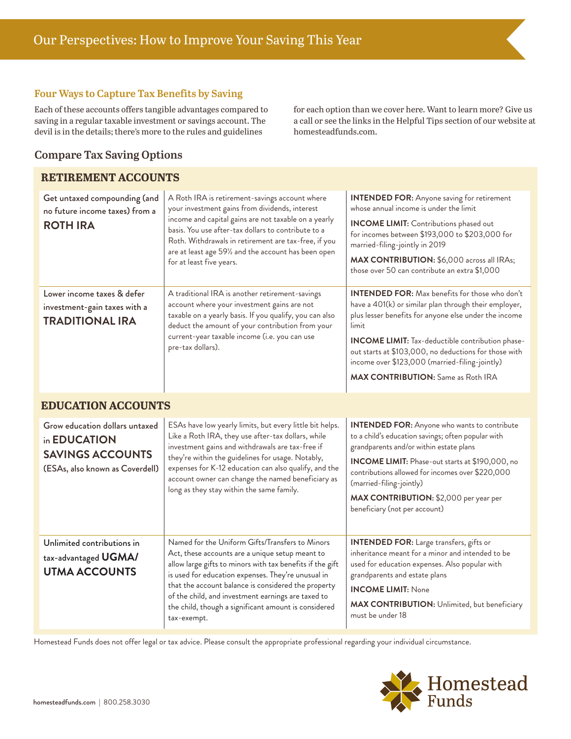#### **Four Ways to Capture Tax Benefits by Saving**

Each of these accounts offers tangible advantages compared to saving in a regular taxable investment or savings account. The devil is in the details; there's more to the rules and guidelines

for each option than we cover here. Want to learn more? Give us a call or see the links in the Helpful Tips section of our website at homesteadfunds.com.

## **Compare Tax Saving Options**

#### **RETIREMENT ACCOUNTS**

| Get untaxed compounding (and<br>no future income taxes) from a<br><b>ROTH IRA</b>                            | A Roth IRA is retirement-savings account where<br>your investment gains from dividends, interest<br>income and capital gains are not taxable on a yearly<br>basis. You use after-tax dollars to contribute to a<br>Roth. Withdrawals in retirement are tax-free, if you<br>are at least age 591/2 and the account has been open<br>for at least five years.                                               | <b>INTENDED FOR:</b> Anyone saving for retirement<br>whose annual income is under the limit<br><b>INCOME LIMIT:</b> Contributions phased out<br>for incomes between \$193,000 to \$203,000 for<br>married-filing-jointly in 2019<br>MAX CONTRIBUTION: \$6,000 across all IRAs;<br>those over 50 can contribute an extra \$1,000                                                                     |
|--------------------------------------------------------------------------------------------------------------|-----------------------------------------------------------------------------------------------------------------------------------------------------------------------------------------------------------------------------------------------------------------------------------------------------------------------------------------------------------------------------------------------------------|-----------------------------------------------------------------------------------------------------------------------------------------------------------------------------------------------------------------------------------------------------------------------------------------------------------------------------------------------------------------------------------------------------|
| Lower income taxes & defer<br>investment-gain taxes with a<br><b>TRADITIONAL IRA</b>                         | A traditional IRA is another retirement-savings<br>account where your investment gains are not<br>taxable on a yearly basis. If you qualify, you can also<br>deduct the amount of your contribution from your<br>current-year taxable income (i.e. you can use<br>pre-tax dollars).                                                                                                                       | <b>INTENDED FOR:</b> Max benefits for those who don't<br>have a 401(k) or similar plan through their employer,<br>plus lesser benefits for anyone else under the income<br>limit<br><b>INCOME LIMIT:</b> Tax-deductible contribution phase-<br>out starts at \$103,000, no deductions for those with<br>income over \$123,000 (married-filing-jointly)<br><b>MAX CONTRIBUTION:</b> Same as Roth IRA |
| <b>EDUCATION ACCOUNTS</b>                                                                                    |                                                                                                                                                                                                                                                                                                                                                                                                           |                                                                                                                                                                                                                                                                                                                                                                                                     |
| Grow education dollars untaxed<br>in EDUCATION<br><b>SAVINGS ACCOUNTS</b><br>(ESAs, also known as Coverdell) | ESAs have low yearly limits, but every little bit helps.<br>Like a Roth IRA, they use after-tax dollars, while<br>investment gains and withdrawals are tax-free if<br>they're within the guidelines for usage. Notably,<br>expenses for K-12 education can also qualify, and the<br>account owner can change the named beneficiary as<br>long as they stay within the same family.                        | <b>INTENDED FOR:</b> Anyone who wants to contribute<br>to a child's education savings; often popular with<br>grandparents and/or within estate plans<br><b>INCOME LIMIT:</b> Phase-out starts at \$190,000, no<br>contributions allowed for incomes over \$220,000<br>(married-filing-jointly)<br>MAX CONTRIBUTION: \$2,000 per year per<br>beneficiary (not per account)                           |
| Unlimited contributions in<br>tax-advantaged UGMA/<br><b>UTMA ACCOUNTS</b>                                   | Named for the Uniform Gifts/Transfers to Minors<br>Act, these accounts are a unique setup meant to<br>allow large gifts to minors with tax benefits if the gift<br>is used for education expenses. They're unusual in<br>that the account balance is considered the property<br>of the child, and investment earnings are taxed to<br>the child, though a significant amount is considered<br>tax-exempt. | <b>INTENDED FOR:</b> Large transfers, gifts or<br>inheritance meant for a minor and intended to be<br>used for education expenses. Also popular with<br>grandparents and estate plans<br><b>INCOME LIMIT: None</b><br>MAX CONTRIBUTION: Unlimited, but beneficiary<br>must be under 18                                                                                                              |

Homestead Funds does not offer legal or tax advice. Please consult the appropriate professional regarding your individual circumstance.